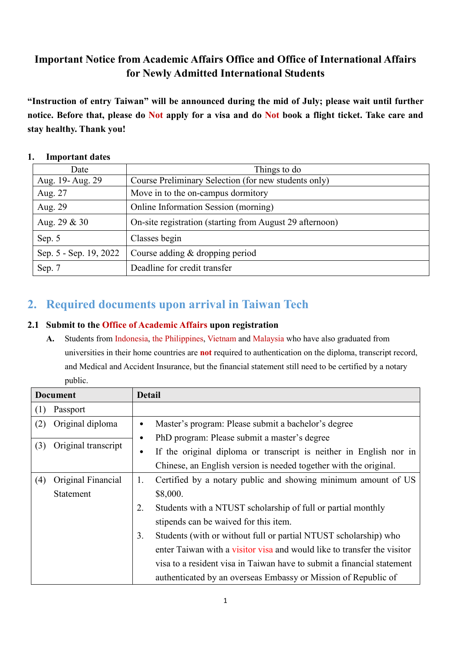## **Important Notice from Academic Affairs Office and Office of International Affairs for Newly Admitted International Students**

**"Instruction of entry Taiwan" will be announced during the mid of July; please wait until further notice. Before that, please do Not apply for a visa and do Not book a flight ticket. Take care and stay healthy. Thank you!**

| Date                   | Things to do                                             |
|------------------------|----------------------------------------------------------|
| Aug. 19- Aug. 29       | Course Preliminary Selection (for new students only)     |
| Aug. 27                | Move in to the on-campus dormitory                       |
| Aug. 29                | Online Information Session (morning)                     |
| Aug. 29 & 30           | On-site registration (starting from August 29 afternoon) |
| Sep. 5                 | Classes begin                                            |
| Sep. 5 - Sep. 19, 2022 | Course adding & dropping period                          |
| Sep. 7                 | Deadline for credit transfer                             |

#### **1. Important dates**

## **2. Required documents upon arrival in Taiwan Tech**

#### **2.1 Submit to the Office of Academic Affairs upon registration**

**A.** Students from Indonesia, the Philippines, Vietnam and Malaysia who have also graduated from universities in their home countries are **not** required to authentication on the diploma, transcript record, and Medical and Accident Insurance, but the financial statement still need to be certified by a notary public.

|     | <b>Document</b>     | <b>Detail</b> |                                                                         |
|-----|---------------------|---------------|-------------------------------------------------------------------------|
| (1) | Passport            |               |                                                                         |
| (2) | Original diploma    | $\bullet$     | Master's program: Please submit a bachelor's degree                     |
|     |                     | $\bullet$     | PhD program: Please submit a master's degree                            |
| (3) | Original transcript | $\bullet$     | If the original diploma or transcript is neither in English nor in      |
|     |                     |               | Chinese, an English version is needed together with the original.       |
| (4) | Original Financial  | 1.            | Certified by a notary public and showing minimum amount of US           |
|     | Statement           |               | \$8,000.                                                                |
|     |                     | 2.            | Students with a NTUST scholarship of full or partial monthly            |
|     |                     |               | stipends can be waived for this item.                                   |
|     |                     | 3.            | Students (with or without full or partial NTUST scholarship) who        |
|     |                     |               | enter Taiwan with a visitor visa and would like to transfer the visitor |
|     |                     |               | visa to a resident visa in Taiwan have to submit a financial statement  |
|     |                     |               | authenticated by an overseas Embassy or Mission of Republic of          |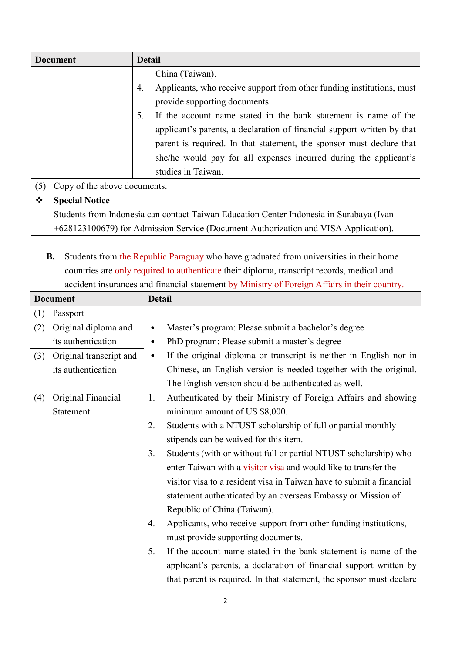| <b>Document</b>                     | <b>Detail</b>                                                               |  |
|-------------------------------------|-----------------------------------------------------------------------------|--|
|                                     | China (Taiwan).                                                             |  |
|                                     | Applicants, who receive support from other funding institutions, must<br>4. |  |
|                                     | provide supporting documents.                                               |  |
|                                     | If the account name stated in the bank statement is name of the             |  |
|                                     | applicant's parents, a declaration of financial support written by that     |  |
|                                     | parent is required. In that statement, the sponsor must declare that        |  |
|                                     | she/he would pay for all expenses incurred during the applicant's           |  |
|                                     | studies in Taiwan.                                                          |  |
| Copy of the above documents.<br>(5) |                                                                             |  |
| ❖<br><b>Special Notice</b>          |                                                                             |  |

**Special Notice**

Students from Indonesia can contact Taiwan Education Center Indonesia in Surabaya (Ivan +628123100679) for Admission Service (Document Authorization and VISA Application).

**B.** Students from the Republic Paraguay who have graduated from universities in their home countries are only required to authenticate their diploma, transcript records, medical and accident insurances and financial statement by Ministry of Foreign Affairs in their country.

| <b>Document</b> |                         | <b>Detail</b> |                                                                      |
|-----------------|-------------------------|---------------|----------------------------------------------------------------------|
| (1)             | Passport                |               |                                                                      |
| (2)             | Original diploma and    | $\bullet$     | Master's program: Please submit a bachelor's degree                  |
|                 | its authentication      | $\bullet$     | PhD program: Please submit a master's degree                         |
| (3)             | Original transcript and | $\bullet$     | If the original diploma or transcript is neither in English nor in   |
|                 | its authentication      |               | Chinese, an English version is needed together with the original.    |
|                 |                         |               | The English version should be authenticated as well.                 |
| (4)             | Original Financial      | 1.            | Authenticated by their Ministry of Foreign Affairs and showing       |
|                 | Statement               |               | minimum amount of US \$8,000.                                        |
|                 |                         | 2.            | Students with a NTUST scholarship of full or partial monthly         |
|                 |                         |               | stipends can be waived for this item.                                |
|                 |                         | 3.            | Students (with or without full or partial NTUST scholarship) who     |
|                 |                         |               | enter Taiwan with a visitor visa and would like to transfer the      |
|                 |                         |               | visitor visa to a resident visa in Taiwan have to submit a financial |
|                 |                         |               | statement authenticated by an overseas Embassy or Mission of         |
|                 |                         |               | Republic of China (Taiwan).                                          |
|                 |                         | 4.            | Applicants, who receive support from other funding institutions,     |
|                 |                         |               | must provide supporting documents.                                   |
|                 |                         | 5.            | If the account name stated in the bank statement is name of the      |
|                 |                         |               | applicant's parents, a declaration of financial support written by   |
|                 |                         |               | that parent is required. In that statement, the sponsor must declare |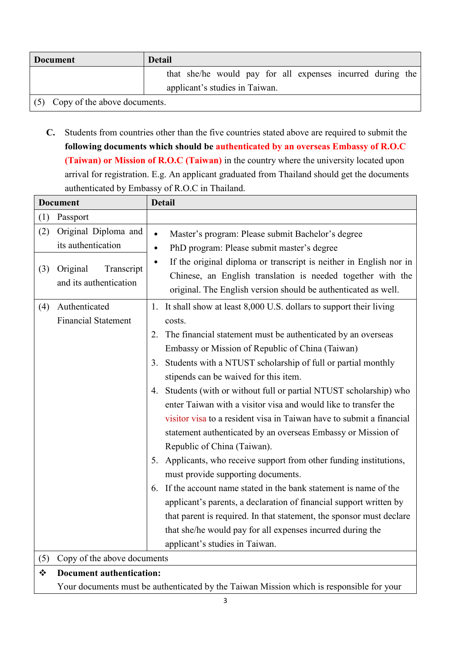| <b>Document</b>                     | <b>Detail</b>                                              |  |
|-------------------------------------|------------------------------------------------------------|--|
|                                     | that she/he would pay for all expenses incurred during the |  |
|                                     | applicant's studies in Taiwan.                             |  |
| Copy of the above documents.<br>(5) |                                                            |  |

**C.** Students from countries other than the five countries stated above are required to submit the **following documents which should be authenticated by an overseas Embassy of R.O.C (Taiwan) or Mission of R.O.C (Taiwan)** in the country where the university located upon arrival for registration. E.g. An applicant graduated from Thailand should get the documents authenticated by Embassy of R.O.C in Thailand.

|            | <b>Document</b>                                                                                | <b>Detail</b>                                                                                                                                                                                                                                                                                                                                                                                                                                                                                                                                                                                                                                                                                                                                                                                                                                                                                                                                                                                                                                                                      |  |
|------------|------------------------------------------------------------------------------------------------|------------------------------------------------------------------------------------------------------------------------------------------------------------------------------------------------------------------------------------------------------------------------------------------------------------------------------------------------------------------------------------------------------------------------------------------------------------------------------------------------------------------------------------------------------------------------------------------------------------------------------------------------------------------------------------------------------------------------------------------------------------------------------------------------------------------------------------------------------------------------------------------------------------------------------------------------------------------------------------------------------------------------------------------------------------------------------------|--|
| (1)        | Passport                                                                                       |                                                                                                                                                                                                                                                                                                                                                                                                                                                                                                                                                                                                                                                                                                                                                                                                                                                                                                                                                                                                                                                                                    |  |
| (2)<br>(3) | Original Diploma and<br>its authentication<br>Original<br>Transcript<br>and its authentication | Master's program: Please submit Bachelor's degree<br>$\bullet$<br>PhD program: Please submit master's degree<br>$\bullet$<br>If the original diploma or transcript is neither in English nor in<br>$\bullet$<br>Chinese, an English translation is needed together with the<br>original. The English version should be authenticated as well.                                                                                                                                                                                                                                                                                                                                                                                                                                                                                                                                                                                                                                                                                                                                      |  |
| (4)        | Authenticated<br><b>Financial Statement</b>                                                    | It shall show at least 8,000 U.S. dollars to support their living<br>1.<br>costs.<br>The financial statement must be authenticated by an overseas<br>2.<br>Embassy or Mission of Republic of China (Taiwan)<br>Students with a NTUST scholarship of full or partial monthly<br>3.<br>stipends can be waived for this item.<br>Students (with or without full or partial NTUST scholarship) who<br>4.<br>enter Taiwan with a visitor visa and would like to transfer the<br>visitor visa to a resident visa in Taiwan have to submit a financial<br>statement authenticated by an overseas Embassy or Mission of<br>Republic of China (Taiwan).<br>5. Applicants, who receive support from other funding institutions,<br>must provide supporting documents.<br>If the account name stated in the bank statement is name of the<br>6.<br>applicant's parents, a declaration of financial support written by<br>that parent is required. In that statement, the sponsor must declare<br>that she/he would pay for all expenses incurred during the<br>applicant's studies in Taiwan. |  |
| (5)        | Copy of the above documents                                                                    |                                                                                                                                                                                                                                                                                                                                                                                                                                                                                                                                                                                                                                                                                                                                                                                                                                                                                                                                                                                                                                                                                    |  |
| ❖          | <b>Document authentication:</b>                                                                |                                                                                                                                                                                                                                                                                                                                                                                                                                                                                                                                                                                                                                                                                                                                                                                                                                                                                                                                                                                                                                                                                    |  |
|            | Your documents must be authenticated by the Taiwan Mission which is responsible for your       |                                                                                                                                                                                                                                                                                                                                                                                                                                                                                                                                                                                                                                                                                                                                                                                                                                                                                                                                                                                                                                                                                    |  |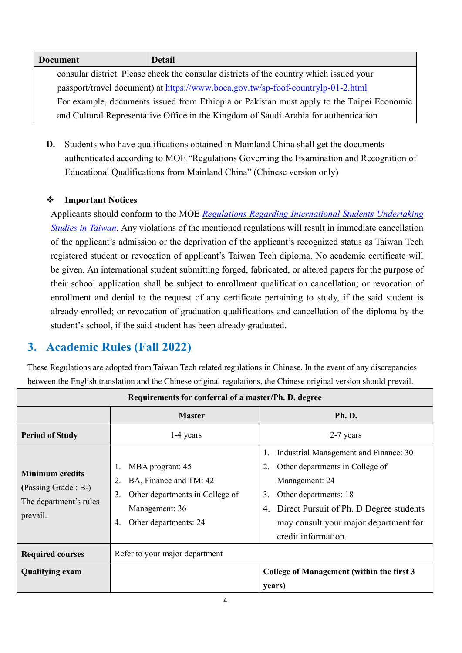| <b>Document</b> | <b>Detail</b>                                                                             |
|-----------------|-------------------------------------------------------------------------------------------|
|                 | consular district. Please check the consular districts of the country which issued your   |
|                 | passport/travel document) at https://www.boca.gov.tw/sp-foof-countrylp-01-2.html          |
|                 | For example, documents issued from Ethiopia or Pakistan must apply to the Taipei Economic |
|                 | and Cultural Representative Office in the Kingdom of Saudi Arabia for authentication      |

**D.** Students who have qualifications obtained in Mainland China shall get the documents authenticated according to MOE "Regulations Governing the Examination and Recognition of Educational Qualifications from Mainland China" (Chinese version only)

## **Important Notices**

Applicants should conform to the MOE *[Regulations Regarding International Students Undertaking](http://law.moj.gov.tw/Eng/LawClass/LawAll.aspx?PCode=H0110001)  [Studies in Taiwan](http://law.moj.gov.tw/Eng/LawClass/LawAll.aspx?PCode=H0110001)*. Any violations of the mentioned regulations will result in immediate cancellation of the applicant's admission or the deprivation of the applicant's recognized status as Taiwan Tech registered student or revocation of applicant's Taiwan Tech diploma. No academic certificate will be given. An international student submitting forged, fabricated, or altered papers for the purpose of their school application shall be subject to enrollment qualification cancellation; or revocation of enrollment and denial to the request of any certificate pertaining to study, if the said student is already enrolled; or revocation of graduation qualifications and cancellation of the diploma by the student's school, if the said student has been already graduated.

# **3. Academic Rules (Fall 2022)**

These Regulations are adopted from Taiwan Tech related regulations in Chinese. In the event of any discrepancies between the English translation and the Chinese original regulations, the Chinese original version should prevail.

| Requirements for conferral of a master/Ph. D. degree                                 |                                                                                                                                           |                                                                                                                                                                                                                                            |  |  |
|--------------------------------------------------------------------------------------|-------------------------------------------------------------------------------------------------------------------------------------------|--------------------------------------------------------------------------------------------------------------------------------------------------------------------------------------------------------------------------------------------|--|--|
|                                                                                      | <b>Master</b>                                                                                                                             | Ph. D.                                                                                                                                                                                                                                     |  |  |
| <b>Period of Study</b>                                                               | 1-4 years                                                                                                                                 | 2-7 years                                                                                                                                                                                                                                  |  |  |
| <b>Minimum</b> credits<br>(Passing Grade : B-)<br>The department's rules<br>prevail. | MBA program: 45<br>BA, Finance and TM: 42<br>2.<br>Other departments in College of<br>3.<br>Management: 36<br>Other departments: 24<br>4. | Industrial Management and Finance: 30<br>Other departments in College of<br>Management: 24<br>Other departments: 18<br>3.<br>Direct Pursuit of Ph. D Degree students<br>4.<br>may consult your major department for<br>credit information. |  |  |
| <b>Required courses</b>                                                              | Refer to your major department                                                                                                            |                                                                                                                                                                                                                                            |  |  |
| <b>Qualifying exam</b><br>years)                                                     |                                                                                                                                           | College of Management (within the first 3                                                                                                                                                                                                  |  |  |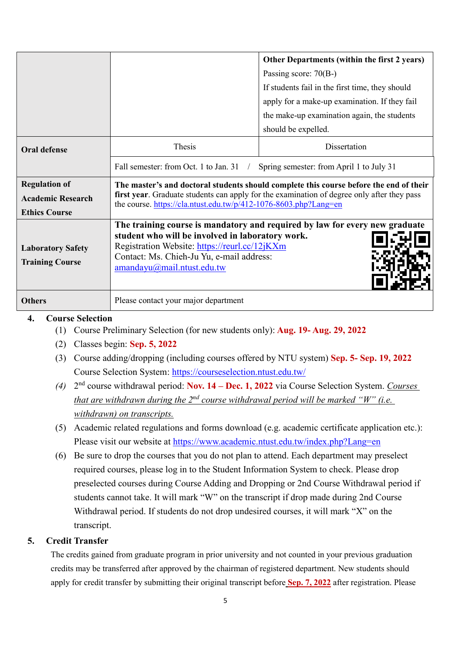|                                                                          |                                                                                                                                                                                                                                                          | Other Departments (within the first 2 years)<br>Passing score: $70(B-)$<br>If students fail in the first time, they should<br>apply for a make-up examination. If they fail<br>the make-up examination again, the students<br>should be expelled. |  |
|--------------------------------------------------------------------------|----------------------------------------------------------------------------------------------------------------------------------------------------------------------------------------------------------------------------------------------------------|---------------------------------------------------------------------------------------------------------------------------------------------------------------------------------------------------------------------------------------------------|--|
| <b>Oral defense</b>                                                      | Thesis                                                                                                                                                                                                                                                   | Dissertation                                                                                                                                                                                                                                      |  |
|                                                                          | Fall semester: from Oct. 1 to Jan. 31                                                                                                                                                                                                                    | Spring semester: from April 1 to July 31                                                                                                                                                                                                          |  |
| <b>Regulation of</b><br><b>Academic Research</b><br><b>Ethics Course</b> | The master's and doctoral students should complete this course before the end of their<br>first year. Graduate students can apply for the examination of degree only after they pass<br>the course. https://cla.ntust.edu.tw/p/412-1076-8603.php?Lang=en |                                                                                                                                                                                                                                                   |  |
| <b>Laboratory Safety</b><br><b>Training Course</b>                       | student who will be involved in laboratory work.<br>Registration Website: https://reurl.cc/12jKXm<br>Contact: Ms. Chieh-Ju Yu, e-mail address:<br>amandayu@mail.ntust.edu.tw                                                                             | The training course is mandatory and required by law for every new graduate                                                                                                                                                                       |  |
| <b>Others</b>                                                            | Please contact your major department                                                                                                                                                                                                                     |                                                                                                                                                                                                                                                   |  |

#### **4. Course Selection**

(1) Course Preliminary Selection (for new students only): **Aug. 19- Aug. 29, 2022**

- (2) Classes begin: **Sep. 5, 2022**
- (3) Course adding/dropping (including courses offered by NTU system) **Sep. 5- Sep. 19, 2022** Course Selection System:<https://courseselection.ntust.edu.tw/>
- *(4)* 2nd course withdrawal period: **Nov. 14 – Dec. 1, 2022** via Course Selection System. *Courses that are withdrawn during the 2nd course withdrawal period will be marked "W" (i.e. withdrawn) on transcripts.*
- (5) Academic related regulations and forms download (e.g. academic certificate application etc.): Please visit our website at<https://www.academic.ntust.edu.tw/index.php?Lang=en>
- (6) Be sure to drop the courses that you do not plan to attend. Each department may preselect required courses, please log in to the Student Information System to check. Please drop preselected courses during Course Adding and Dropping or 2nd Course Withdrawal period if students cannot take. It will mark "W" on the transcript if drop made during 2nd Course Withdrawal period. If students do not drop undesired courses, it will mark "X" on the transcript.

## **5. Credit Transfer**

The credits gained from graduate program in prior university and not counted in your previous graduation credits may be transferred after approved by the chairman of registered department. New students should apply for credit transfer by submitting their original transcript before **Sep. 7, 2022** after registration. Please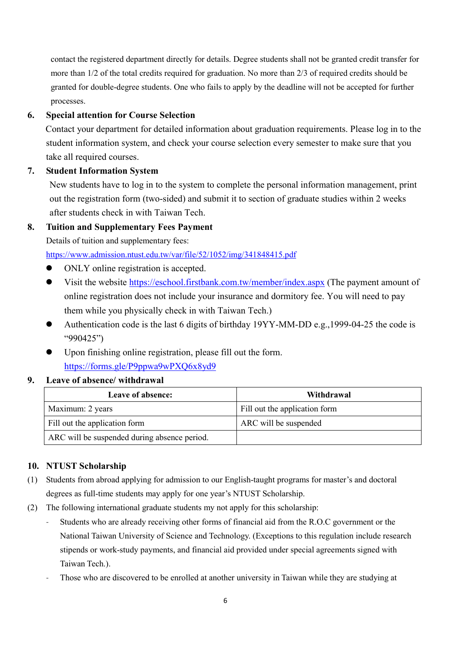contact the registered department directly for details. Degree students shall not be granted credit transfer for more than 1/2 of the total credits required for graduation. No more than 2/3 of required credits should be granted for double-degree students. One who fails to apply by the deadline will not be accepted for further processes.

#### **6. Special attention for Course Selection**

Contact your department for detailed information about graduation requirements. Please log in to the student information system, and check your course selection every semester to make sure that you take all required courses.

#### **7. Student Information System**

New students have to log in to the system to complete the personal information management, print out the registration form (two-sided) and submit it to section of graduate studies within 2 weeks after students check in with Taiwan Tech.

#### **8. Tuition and Supplementary Fees Payment**

Details of tuition and supplementary fees:

<https://www.admission.ntust.edu.tw/var/file/52/1052/img/341848415.pdf>

- ONLY online registration is accepted.
- Visit the website<https://eschool.firstbank.com.tw/member/index.aspx> (The payment amount of online registration does not include your insurance and dormitory fee. You will need to pay them while you physically check in with Taiwan Tech.)
- Authentication code is the last 6 digits of birthday 19YY-MM-DD e.g.,1999-04-25 the code is "990425")
- Upon finishing online registration, please fill out the form. <https://forms.gle/P9ppwa9wPXQ6x8yd9>

#### **9. Leave of absence/ withdrawal**

| Leave of absence:                            | Withdrawal                    |
|----------------------------------------------|-------------------------------|
| Maximum: 2 years                             | Fill out the application form |
| Fill out the application form                | ARC will be suspended         |
| ARC will be suspended during absence period. |                               |

## **10. NTUST Scholarship**

- (1) Students from abroad applying for admission to our English-taught programs for master's and doctoral degrees as full-time students may apply for one year's NTUST Scholarship.
- (2) The following international graduate students my not apply for this scholarship:
	- Students who are already receiving other forms of financial aid from the R.O.C government or the National Taiwan University of Science and Technology. (Exceptions to this regulation include research stipends or work-study payments, and financial aid provided under special agreements signed with Taiwan Tech.).
	- Those who are discovered to be enrolled at another university in Taiwan while they are studying at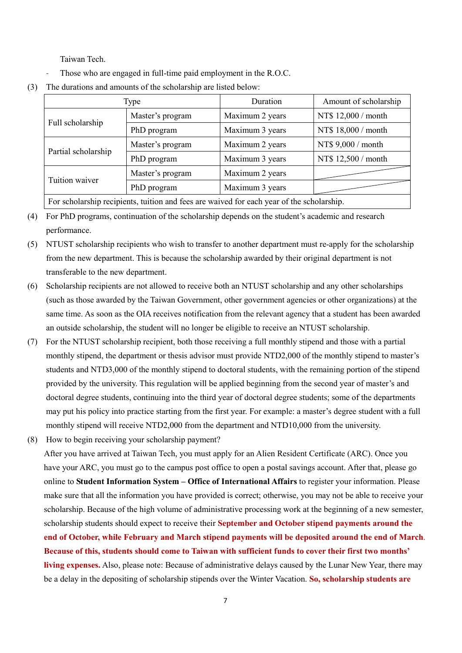Taiwan Tech.

- Those who are engaged in full-time paid employment in the R.O.C.
- (3) The durations and amounts of the scholarship are listed below:

|                                                                                           | Type             | Duration        | Amount of scholarship |
|-------------------------------------------------------------------------------------------|------------------|-----------------|-----------------------|
| Full scholarship                                                                          | Master's program | Maximum 2 years | NT\$ 12,000 / month   |
|                                                                                           | PhD program      | Maximum 3 years | NT\$ 18,000 / month   |
| Partial scholarship                                                                       | Master's program | Maximum 2 years | NT\$ 9,000 / month    |
|                                                                                           | PhD program      | Maximum 3 years | NT\$ 12,500 / month   |
|                                                                                           | Master's program | Maximum 2 years |                       |
| Tuition waiver                                                                            | PhD program      | Maximum 3 years |                       |
| For scholarship recipients, tuition and fees are waived for each year of the scholarship. |                  |                 |                       |

(4) For PhD programs, continuation of the scholarship depends on the student's academic and research performance.

- (5) NTUST scholarship recipients who wish to transfer to another department must re-apply for the scholarship from the new department. This is because the scholarship awarded by their original department is not transferable to the new department.
- (6) Scholarship recipients are not allowed to receive both an NTUST scholarship and any other scholarships (such as those awarded by the Taiwan Government, other government agencies or other organizations) at the same time. As soon as the OIA receives notification from the relevant agency that a student has been awarded an outside scholarship, the student will no longer be eligible to receive an NTUST scholarship.
- (7) For the NTUST scholarship recipient, both those receiving a full monthly stipend and those with a partial monthly stipend, the department or thesis advisor must provide NTD2,000 of the monthly stipend to master's students and NTD3,000 of the monthly stipend to doctoral students, with the remaining portion of the stipend provided by the university. This regulation will be applied beginning from the second year of master's and doctoral degree students, continuing into the third year of doctoral degree students; some of the departments may put his policy into practice starting from the first year. For example: a master's degree student with a full monthly stipend will receive NTD2,000 from the department and NTD10,000 from the university.
- (8) How to begin receiving your scholarship payment?

After you have arrived at Taiwan Tech, you must apply for an Alien Resident Certificate (ARC). Once you have your ARC, you must go to the campus post office to open a postal savings account. After that, please go online to **Student Information System – Office of International Affairs** to register your information. Please make sure that all the information you have provided is correct; otherwise, you may not be able to receive your scholarship. Because of the high volume of administrative processing work at the beginning of a new semester, scholarship students should expect to receive their **September and October stipend payments around the end of October, while February and March stipend payments will be deposited around the end of March**. **Because of this, students should come to Taiwan with sufficient funds to cover their first two months' living expenses.** Also, please note: Because of administrative delays caused by the Lunar New Year, there may be a delay in the depositing of scholarship stipends over the Winter Vacation. **So, scholarship students are**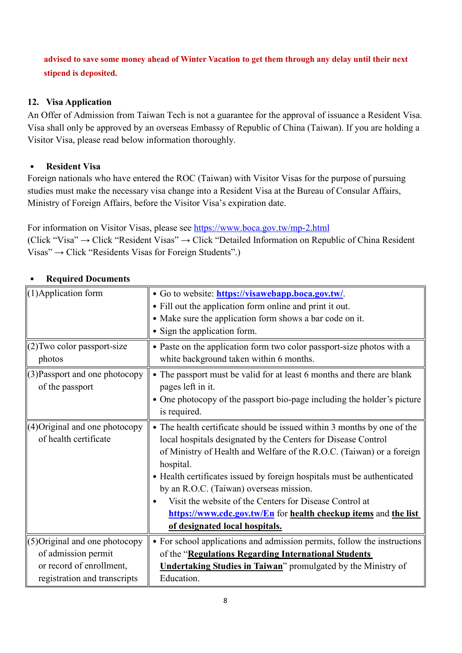## **advised to save some money ahead of Winter Vacation to get them through any delay until their next stipend is deposited.**

## **12. Visa Application**

An Offer of Admission from Taiwan Tech is not a guarantee for the approval of issuance a Resident Visa. Visa shall only be approved by an overseas Embassy of Republic of China (Taiwan). If you are holding a Visitor Visa, please read below information thoroughly.

## ․ **Resident Visa**

Foreign nationals who have entered the ROC (Taiwan) with Visitor Visas for the purpose of pursuing studies must make the necessary visa change into a Resident Visa at the Bureau of Consular Affairs, Ministry of Foreign Affairs, before the Visitor Visa's expiration date.

For information on Visitor Visas, please see<https://www.boca.gov.tw/mp-2.html> (Click "Visa" → Click "Resident Visas" → Click "Detailed Information on Republic of China Resident Visas" → Click "Residents Visas for Foreign Students".)

| (1) Application form           | • Go to website: https://visawebapp.boca.gov.tw/.<br>• Fill out the application form online and print it out. |
|--------------------------------|---------------------------------------------------------------------------------------------------------------|
|                                | • Make sure the application form shows a bar code on it.                                                      |
|                                | • Sign the application form.                                                                                  |
|                                |                                                                                                               |
| (2) Two color passport-size    | • Paste on the application form two color passport-size photos with a                                         |
| photos                         | white background taken within 6 months.                                                                       |
| (3) Passport and one photocopy | • The passport must be valid for at least 6 months and there are blank                                        |
| of the passport                | pages left in it.                                                                                             |
|                                | • One photocopy of the passport bio-page including the holder's picture                                       |
|                                | is required.                                                                                                  |
| (4) Original and one photocopy | • The health certificate should be issued within 3 months by one of the                                       |
| of health certificate          | local hospitals designated by the Centers for Disease Control                                                 |
|                                | of Ministry of Health and Welfare of the R.O.C. (Taiwan) or a foreign                                         |
|                                | hospital.                                                                                                     |
|                                | • Health certificates issued by foreign hospitals must be authenticated                                       |
|                                | by an R.O.C. (Taiwan) overseas mission.                                                                       |
|                                | Visit the website of the Centers for Disease Control at                                                       |
|                                | https://www.cdc.gov.tw/En for health checkup items and the list                                               |
|                                | of designated local hospitals.                                                                                |
| (5) Original and one photocopy | • For school applications and admission permits, follow the instructions                                      |
| of admission permit            | of the "Regulations Regarding International Students                                                          |
| or record of enrollment,       | <b>Undertaking Studies in Taiwan</b> " promulgated by the Ministry of                                         |
| registration and transcripts   | Education.                                                                                                    |

#### ․ **Required Documents**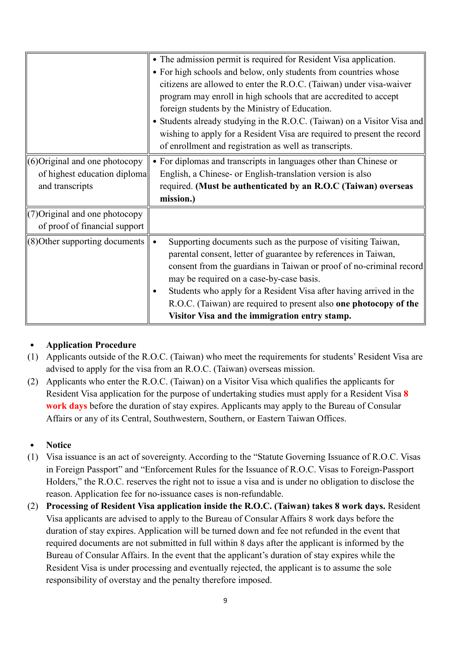|                                                                                     | • The admission permit is required for Resident Visa application.<br>• For high schools and below, only students from countries whose<br>citizens are allowed to enter the R.O.C. (Taiwan) under visa-waiver<br>program may enroll in high schools that are accredited to accept<br>foreign students by the Ministry of Education.<br>• Students already studying in the R.O.C. (Taiwan) on a Visitor Visa and                                             |
|-------------------------------------------------------------------------------------|------------------------------------------------------------------------------------------------------------------------------------------------------------------------------------------------------------------------------------------------------------------------------------------------------------------------------------------------------------------------------------------------------------------------------------------------------------|
|                                                                                     | wishing to apply for a Resident Visa are required to present the record<br>of enrollment and registration as well as transcripts.                                                                                                                                                                                                                                                                                                                          |
| $(6)$ Original and one photocopy<br>of highest education diploma<br>and transcripts | • For diplomas and transcripts in languages other than Chinese or<br>English, a Chinese- or English-translation version is also<br>required. (Must be authenticated by an R.O.C (Taiwan) overseas<br>mission.)                                                                                                                                                                                                                                             |
| (7) Original and one photocopy<br>of proof of financial support                     |                                                                                                                                                                                                                                                                                                                                                                                                                                                            |
| (8) Other supporting documents                                                      | Supporting documents such as the purpose of visiting Taiwan,<br>$\bullet$<br>parental consent, letter of guarantee by references in Taiwan,<br>consent from the guardians in Taiwan or proof of no-criminal record<br>may be required on a case-by-case basis.<br>Students who apply for a Resident Visa after having arrived in the<br>R.O.C. (Taiwan) are required to present also one photocopy of the<br>Visitor Visa and the immigration entry stamp. |

## ․ **Application Procedure**

- (1) Applicants outside of the R.O.C. (Taiwan) who meet the requirements for students' Resident Visa are advised to apply for the visa from an R.O.C. (Taiwan) overseas mission.
- (2) Applicants who enter the R.O.C. (Taiwan) on a Visitor Visa which qualifies the applicants for Resident Visa application for the purpose of undertaking studies must apply for a Resident Visa **8 work days** before the duration of stay expires. Applicants may apply to the Bureau of Consular Affairs or any of its Central, Southwestern, Southern, or Eastern Taiwan Offices.

## ․ **Notice**

- (1) Visa issuance is an act of sovereignty. According to the "Statute Governing Issuance of R.O.C. Visas in Foreign Passport" and "Enforcement Rules for the Issuance of R.O.C. Visas to Foreign-Passport Holders," the R.O.C. reserves the right not to issue a visa and is under no obligation to disclose the reason. Application fee for no-issuance cases is non-refundable.
- (2) **Processing of Resident Visa application inside the R.O.C. (Taiwan) takes 8 work days.** Resident Visa applicants are advised to apply to the Bureau of Consular Affairs 8 work days before the duration of stay expires. Application will be turned down and fee not refunded in the event that required documents are not submitted in full within 8 days after the applicant is informed by the Bureau of Consular Affairs. In the event that the applicant's duration of stay expires while the Resident Visa is under processing and eventually rejected, the applicant is to assume the sole responsibility of overstay and the penalty therefore imposed.